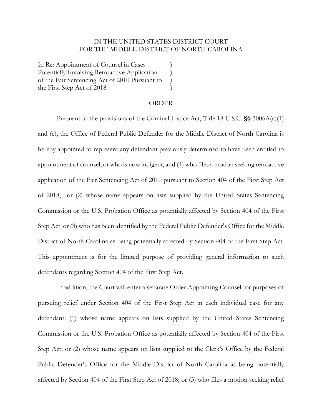## IN THE UNITED STATES DISTRICT COURT FOR THE MIDDLE DISTRICT OF NORTH CAROLINA

In Re: Appointment of Counsel in Cases Potentially Involving Retroactive Application () of the Fair Sentencing Act of 2010 Pursuant to ) the First Step Act of 2018 )

## ORDER

Pursuant to the provisions of the Criminal Justice Act, Title 18 U.S.C.  $\frac{S}{S}$  3006A(a)(1) and (c), the Office of Federal Public Defender for the Middle District of North Carolina is hereby appointed to represent any defendant previously determined to have been entitled to appointment of counsel, or who is now indigent, and (1) who files a motion seeking retroactive application of the Fair Sentencing Act of 2010 pursuant to Section 404 of the First Step Act of 2018, or (2) whose name appears on lists supplied by the United States Sentencing Commission or the U.S. Probation Office as potentially affected by Section 404 of the First Step Act, or (3) who has been identified by the Federal Public Defender's Office for the Middle District of North Carolina as being potentially affected by Section 404 of the First Step Act. This appointment is for the limited purpose of providing general information to such defendants regarding Section 404 of the First Step Act.

In addition, the Court will enter a separate Order Appointing Counsel for purposes of pursuing relief under Section 404 of the First Step Act in each individual case for any defendant: (1) whose name appears on lists supplied by the United States Sentencing Commission or the U.S. Probation Office as potentially affected by Section 404 of the First Step Act; or (2) whose name appears on lists supplied to the Clerk's Office by the Federal Public Defender's Office for the Middle District of North Carolina as being potentially affected by Section 404 of the First Step Act of 2018; or (3) who files a motion seeking relief